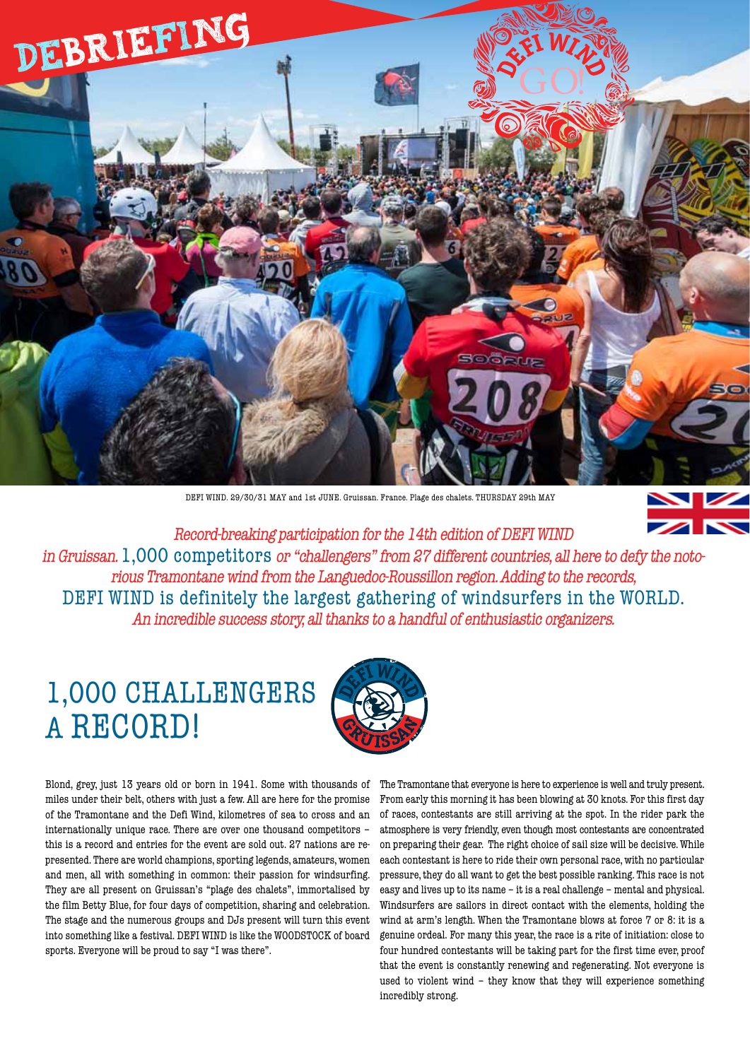

DEFI WIND. 29/30/31 MAY and 1st JUNE. Gruissan. France. Plage des chalets. THURSDAY 29th MAY

 $\mathbf{z}$ 

Record-breaking participation for the 14th edition of DEFI WIND in Gruissan. 1,000 competitors or "challengers" from 27 different countries, all here to defy the notorious Tramontane wind from the Languedoc-Roussillon region. Adding to the records, DEFI WIND is definitely the largest gathering of windsurfers in the WORLD. An incredible success story, all thanks to a handful of enthusiastic organizers.

## 1,000 CHALLENGERS A RECORD!



Blond, grey, just 13 years old or born in 1941. Some with thousands of miles under their belt, others with just a few. All are here for the promise of the Tramontane and the Defi Wind, kilometres of sea to cross and an internationally unique race. There are over one thousand competitors – this is a record and entries for the event are sold out. 27 nations are represented. There are world champions, sporting legends, amateurs, women and men, all with something in common: their passion for windsurfing. They are all present on Gruissan's "plage des chalets", immortalised by the film Betty Blue, for four days of competition, sharing and celebration. The stage and the numerous groups and DJs present will turn this event into something like a festival. DEFI WIND is like the WOODSTOCK of board sports. Everyone will be proud to say "I was there".

The Tramontane that everyone is here to experience is well and truly present. From early this morning it has been blowing at 30 knots. For this first day of races, contestants are still arriving at the spot. In the rider park the atmosphere is very friendly, even though most contestants are concentrated on preparing their gear. The right choice of sail size will be decisive. While each contestant is here to ride their own personal race, with no particular pressure, they do all want to get the best possible ranking. This race is not easy and lives up to its name – it is a real challenge – mental and physical. Windsurfers are sailors in direct contact with the elements, holding the wind at arm's length. When the Tramontane blows at force 7 or 8: it is a genuine ordeal. For many this year, the race is a rite of initiation: close to four hundred contestants will be taking part for the first time ever, proof that the event is constantly renewing and regenerating. Not everyone is used to violent wind – they know that they will experience something incredibly strong.